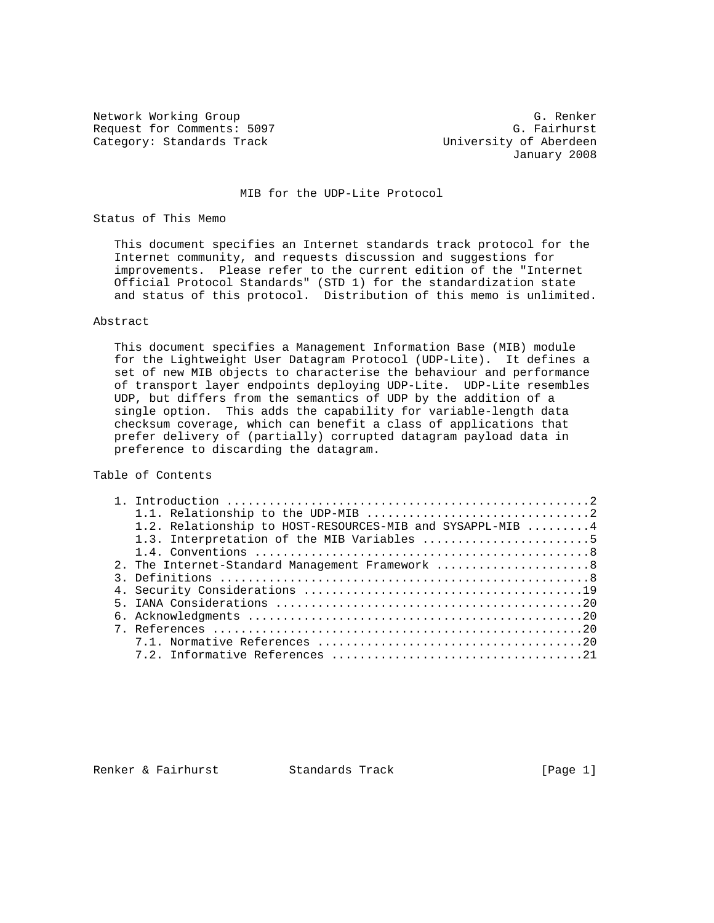Network Working Group G. Renker (G. Renker G. Renker G. Renker G. Renker G. Renker G. Renker G. Renker G. Renker G. Renker (G. Renker G. Renker G. Renker G. Renker G. Renker G. Renker G. Renker G. Renker G. Renker (G. Renk Request for Comments: 5097<br>Category: Standards Track

University of Aberdeen January 2008

MIB for the UDP-Lite Protocol

### Status of This Memo

 This document specifies an Internet standards track protocol for the Internet community, and requests discussion and suggestions for improvements. Please refer to the current edition of the "Internet Official Protocol Standards" (STD 1) for the standardization state and status of this protocol. Distribution of this memo is unlimited.

## Abstract

 This document specifies a Management Information Base (MIB) module for the Lightweight User Datagram Protocol (UDP-Lite). It defines a set of new MIB objects to characterise the behaviour and performance of transport layer endpoints deploying UDP-Lite. UDP-Lite resembles UDP, but differs from the semantics of UDP by the addition of a single option. This adds the capability for variable-length data checksum coverage, which can benefit a class of applications that prefer delivery of (partially) corrupted datagram payload data in preference to discarding the datagram.

# Table of Contents

| 1.2. Relationship to HOST-RESOURCES-MIB and SYSAPPL-MIB  4                                           |
|------------------------------------------------------------------------------------------------------|
| 1.3. Interpretation of the MIB Variables 5                                                           |
|                                                                                                      |
| 2. The Internet-Standard Management Framework 8                                                      |
| 3. Definitions $\ldots \ldots \ldots \ldots \ldots \ldots \ldots \ldots \ldots \ldots \ldots \ldots$ |
|                                                                                                      |
|                                                                                                      |
|                                                                                                      |
|                                                                                                      |
|                                                                                                      |
|                                                                                                      |

Renker & Fairhurst Standards Track [Page 1]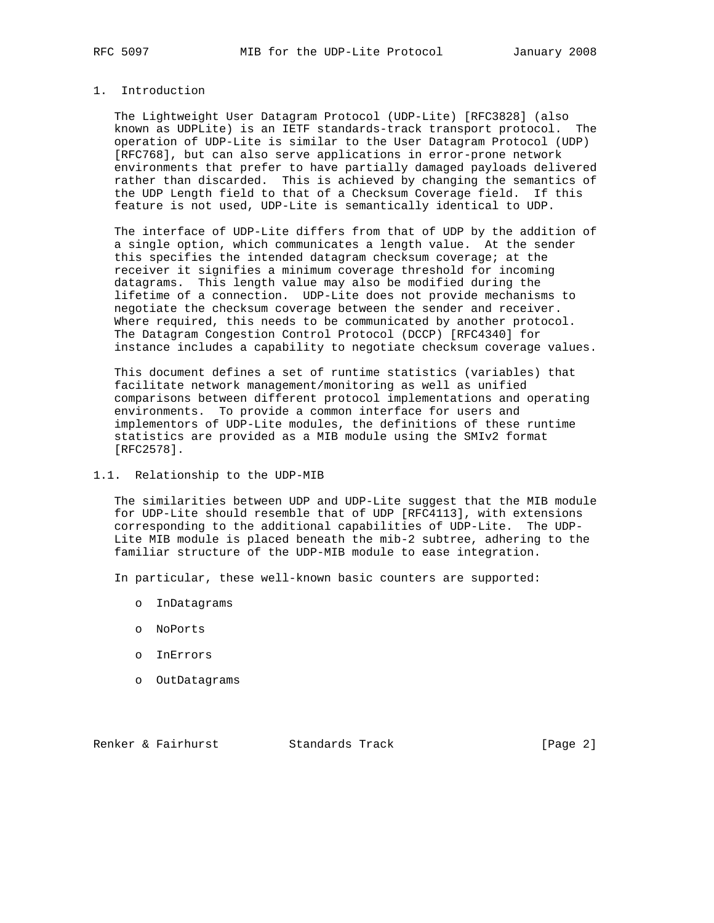# 1. Introduction

 The Lightweight User Datagram Protocol (UDP-Lite) [RFC3828] (also known as UDPLite) is an IETF standards-track transport protocol. The operation of UDP-Lite is similar to the User Datagram Protocol (UDP) [RFC768], but can also serve applications in error-prone network environments that prefer to have partially damaged payloads delivered rather than discarded. This is achieved by changing the semantics of the UDP Length field to that of a Checksum Coverage field. If this feature is not used, UDP-Lite is semantically identical to UDP.

 The interface of UDP-Lite differs from that of UDP by the addition of a single option, which communicates a length value. At the sender this specifies the intended datagram checksum coverage; at the receiver it signifies a minimum coverage threshold for incoming datagrams. This length value may also be modified during the lifetime of a connection. UDP-Lite does not provide mechanisms to negotiate the checksum coverage between the sender and receiver. Where required, this needs to be communicated by another protocol. The Datagram Congestion Control Protocol (DCCP) [RFC4340] for instance includes a capability to negotiate checksum coverage values.

 This document defines a set of runtime statistics (variables) that facilitate network management/monitoring as well as unified comparisons between different protocol implementations and operating environments. To provide a common interface for users and implementors of UDP-Lite modules, the definitions of these runtime statistics are provided as a MIB module using the SMIv2 format [RFC2578].

## 1.1. Relationship to the UDP-MIB

 The similarities between UDP and UDP-Lite suggest that the MIB module for UDP-Lite should resemble that of UDP [RFC4113], with extensions corresponding to the additional capabilities of UDP-Lite. The UDP- Lite MIB module is placed beneath the mib-2 subtree, adhering to the familiar structure of the UDP-MIB module to ease integration.

In particular, these well-known basic counters are supported:

- o InDatagrams
- o NoPorts
- o InErrors
- o OutDatagrams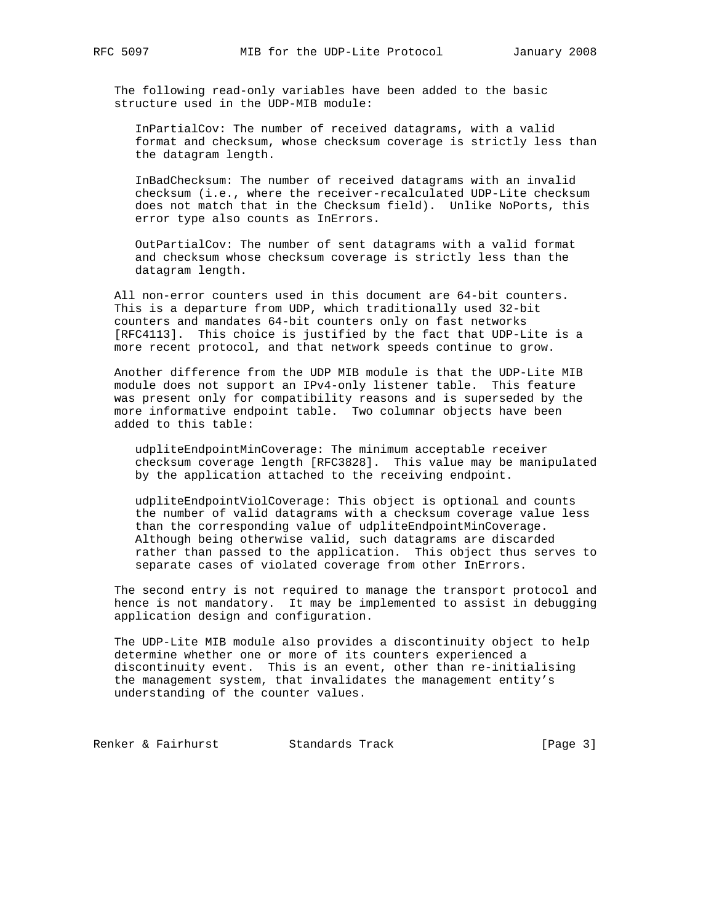The following read-only variables have been added to the basic structure used in the UDP-MIB module:

 InPartialCov: The number of received datagrams, with a valid format and checksum, whose checksum coverage is strictly less than the datagram length.

 InBadChecksum: The number of received datagrams with an invalid checksum (i.e., where the receiver-recalculated UDP-Lite checksum does not match that in the Checksum field). Unlike NoPorts, this error type also counts as InErrors.

 OutPartialCov: The number of sent datagrams with a valid format and checksum whose checksum coverage is strictly less than the datagram length.

 All non-error counters used in this document are 64-bit counters. This is a departure from UDP, which traditionally used 32-bit counters and mandates 64-bit counters only on fast networks [RFC4113]. This choice is justified by the fact that UDP-Lite is a more recent protocol, and that network speeds continue to grow.

 Another difference from the UDP MIB module is that the UDP-Lite MIB module does not support an IPv4-only listener table. This feature was present only for compatibility reasons and is superseded by the more informative endpoint table. Two columnar objects have been added to this table:

 udpliteEndpointMinCoverage: The minimum acceptable receiver checksum coverage length [RFC3828]. This value may be manipulated by the application attached to the receiving endpoint.

 udpliteEndpointViolCoverage: This object is optional and counts the number of valid datagrams with a checksum coverage value less than the corresponding value of udpliteEndpointMinCoverage. Although being otherwise valid, such datagrams are discarded rather than passed to the application. This object thus serves to separate cases of violated coverage from other InErrors.

 The second entry is not required to manage the transport protocol and hence is not mandatory. It may be implemented to assist in debugging application design and configuration.

 The UDP-Lite MIB module also provides a discontinuity object to help determine whether one or more of its counters experienced a discontinuity event. This is an event, other than re-initialising the management system, that invalidates the management entity's understanding of the counter values.

Renker & Fairhurst Standards Track [Page 3]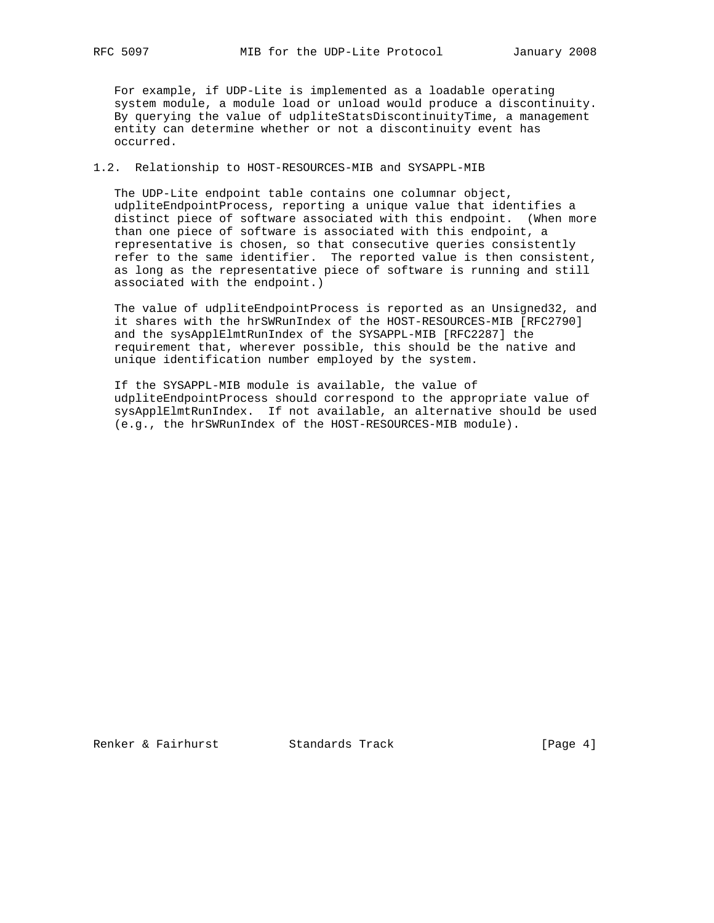For example, if UDP-Lite is implemented as a loadable operating system module, a module load or unload would produce a discontinuity. By querying the value of udpliteStatsDiscontinuityTime, a management entity can determine whether or not a discontinuity event has occurred.

## 1.2. Relationship to HOST-RESOURCES-MIB and SYSAPPL-MIB

 The UDP-Lite endpoint table contains one columnar object, udpliteEndpointProcess, reporting a unique value that identifies a distinct piece of software associated with this endpoint. (When more than one piece of software is associated with this endpoint, a representative is chosen, so that consecutive queries consistently refer to the same identifier. The reported value is then consistent, as long as the representative piece of software is running and still associated with the endpoint.)

 The value of udpliteEndpointProcess is reported as an Unsigned32, and it shares with the hrSWRunIndex of the HOST-RESOURCES-MIB [RFC2790] and the sysApplElmtRunIndex of the SYSAPPL-MIB [RFC2287] the requirement that, wherever possible, this should be the native and unique identification number employed by the system.

 If the SYSAPPL-MIB module is available, the value of udpliteEndpointProcess should correspond to the appropriate value of sysApplElmtRunIndex. If not available, an alternative should be used (e.g., the hrSWRunIndex of the HOST-RESOURCES-MIB module).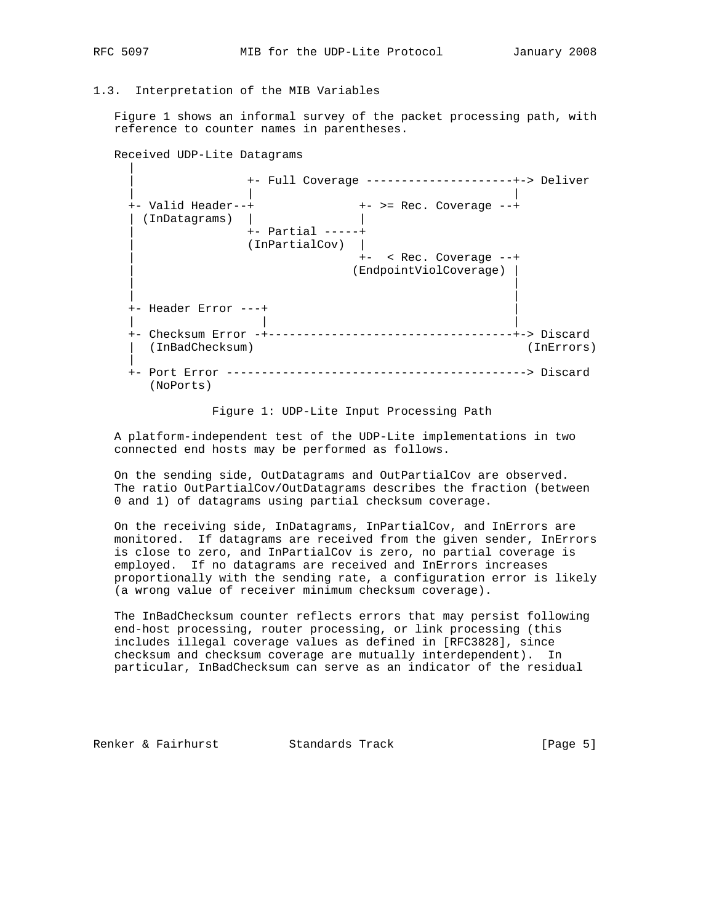|

## 1.3. Interpretation of the MIB Variables

 Figure 1 shows an informal survey of the packet processing path, with reference to counter names in parentheses.

Received UDP-Lite Datagrams

 | +- Full Coverage ---------------------+-> Deliver | | | +- Valid Header--+  $\qquad \qquad \bullet$  +- >= Rec. Coverage --+ | (InDatagrams) | | | +- Partial -----+ | (InPartialCov) | | +- < Rec. Coverage --+ | (EndpointViolCoverage) | | | | | +- Header Error ---+ | | | | +- Checksum Error -+-----------------------------------+-> Discard | (InBadChecksum) (InErrors) | +- Port Error -------------------------------------------> Discard (NoPorts)

Figure 1: UDP-Lite Input Processing Path

 A platform-independent test of the UDP-Lite implementations in two connected end hosts may be performed as follows.

 On the sending side, OutDatagrams and OutPartialCov are observed. The ratio OutPartialCov/OutDatagrams describes the fraction (between 0 and 1) of datagrams using partial checksum coverage.

 On the receiving side, InDatagrams, InPartialCov, and InErrors are monitored. If datagrams are received from the given sender, InErrors is close to zero, and InPartialCov is zero, no partial coverage is employed. If no datagrams are received and InErrors increases proportionally with the sending rate, a configuration error is likely (a wrong value of receiver minimum checksum coverage).

 The InBadChecksum counter reflects errors that may persist following end-host processing, router processing, or link processing (this includes illegal coverage values as defined in [RFC3828], since checksum and checksum coverage are mutually interdependent). In particular, InBadChecksum can serve as an indicator of the residual

Renker & Fairhurst Standards Track [Page 5]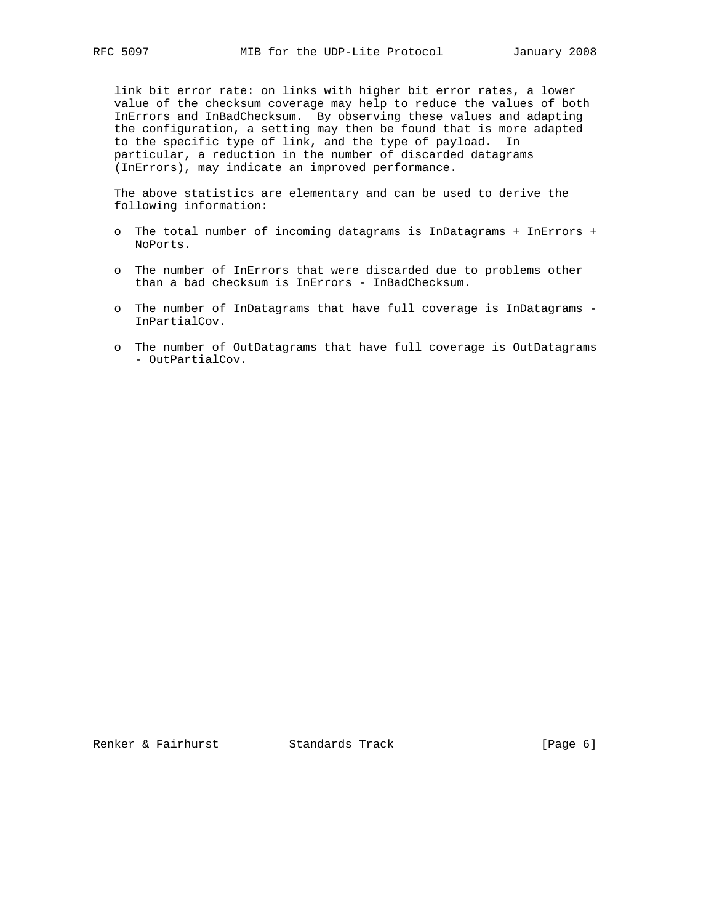link bit error rate: on links with higher bit error rates, a lower value of the checksum coverage may help to reduce the values of both InErrors and InBadChecksum. By observing these values and adapting the configuration, a setting may then be found that is more adapted to the specific type of link, and the type of payload. In particular, a reduction in the number of discarded datagrams (InErrors), may indicate an improved performance.

 The above statistics are elementary and can be used to derive the following information:

- o The total number of incoming datagrams is InDatagrams + InErrors + NoPorts.
- o The number of InErrors that were discarded due to problems other than a bad checksum is InErrors - InBadChecksum.
- o The number of InDatagrams that have full coverage is InDatagrams InPartialCov.
- o The number of OutDatagrams that have full coverage is OutDatagrams - OutPartialCov.

Renker & Fairhurst Standards Track [Page 6]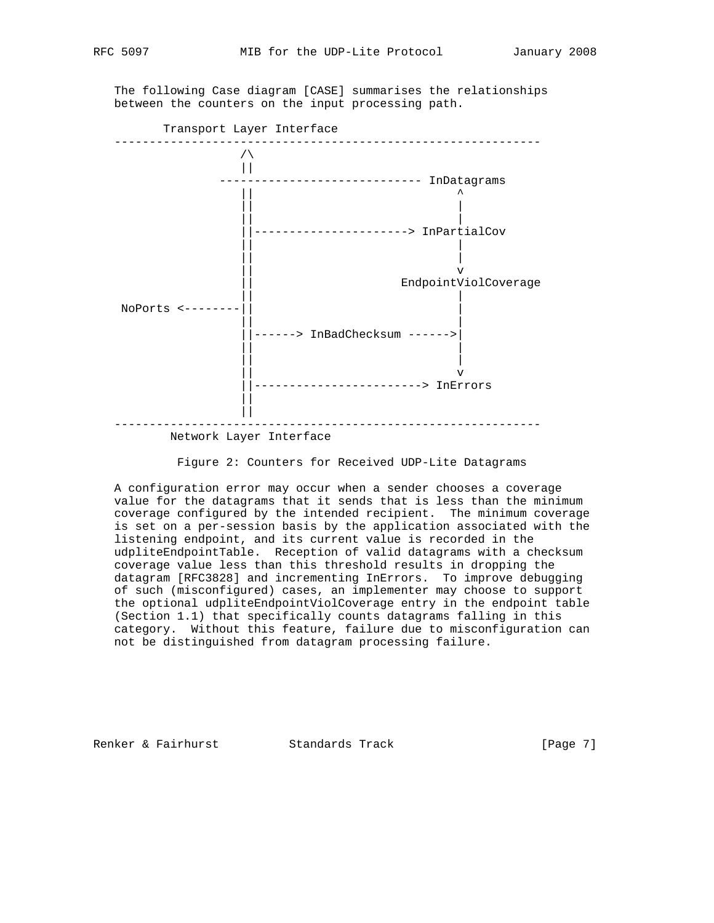

 The following Case diagram [CASE] summarises the relationships between the counters on the input processing path.



### Figure 2: Counters for Received UDP-Lite Datagrams

 A configuration error may occur when a sender chooses a coverage value for the datagrams that it sends that is less than the minimum coverage configured by the intended recipient. The minimum coverage is set on a per-session basis by the application associated with the listening endpoint, and its current value is recorded in the udpliteEndpointTable. Reception of valid datagrams with a checksum coverage value less than this threshold results in dropping the datagram [RFC3828] and incrementing InErrors. To improve debugging of such (misconfigured) cases, an implementer may choose to support the optional udpliteEndpointViolCoverage entry in the endpoint table (Section 1.1) that specifically counts datagrams falling in this category. Without this feature, failure due to misconfiguration can not be distinguished from datagram processing failure.

Renker & Fairhurst Standards Track [Page 7]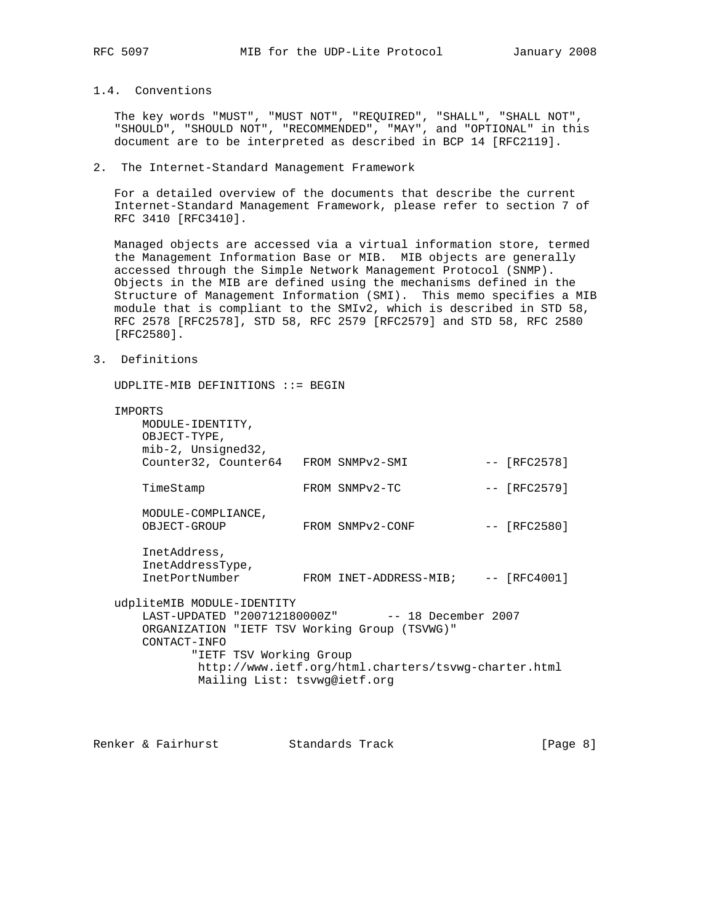# 1.4. Conventions

 The key words "MUST", "MUST NOT", "REQUIRED", "SHALL", "SHALL NOT", "SHOULD", "SHOULD NOT", "RECOMMENDED", "MAY", and "OPTIONAL" in this document are to be interpreted as described in BCP 14 [RFC2119].

### 2. The Internet-Standard Management Framework

 For a detailed overview of the documents that describe the current Internet-Standard Management Framework, please refer to section 7 of RFC 3410 [RFC3410].

 Managed objects are accessed via a virtual information store, termed the Management Information Base or MIB. MIB objects are generally accessed through the Simple Network Management Protocol (SNMP). Objects in the MIB are defined using the mechanisms defined in the Structure of Management Information (SMI). This memo specifies a MIB module that is compliant to the SMIv2, which is described in STD 58, RFC 2578 [RFC2578], STD 58, RFC 2579 [RFC2579] and STD 58, RFC 2580 [RFC2580].

3. Definitions

UDPLITE-MIB DEFINITIONS ::= BEGIN

| <b>TMPORTS</b>                                       |                                      |  |                                                  |  |                |  |  |  |
|------------------------------------------------------|--------------------------------------|--|--------------------------------------------------|--|----------------|--|--|--|
|                                                      | MODULE-IDENTITY,                     |  |                                                  |  |                |  |  |  |
| OBJECT-TYPE,                                         |                                      |  |                                                  |  |                |  |  |  |
|                                                      | mib-2, Unsigned32,                   |  |                                                  |  |                |  |  |  |
|                                                      | Counter32, Counter64 FROM SNMPv2-SMI |  |                                                  |  | $-- [RFC2578]$ |  |  |  |
| TimeStamp                                            |                                      |  | FROM SNMPv2-TC                                   |  | $-- [RFC2579]$ |  |  |  |
|                                                      | MODULE-COMPLIANCE,                   |  |                                                  |  |                |  |  |  |
|                                                      | OBJECT-GROUP                         |  | FROM SNMPv2-CONF                                 |  | -- [RFC2580]   |  |  |  |
|                                                      | InetAddress,                         |  |                                                  |  |                |  |  |  |
|                                                      | InetAddressType,                     |  |                                                  |  |                |  |  |  |
|                                                      | <b>TnetPortNumber</b>                |  | FROM INET-ADDRESS-MIB;                           |  | $-- [RFC4001]$ |  |  |  |
| udpliteMIB MODULE-IDENTITY                           |                                      |  |                                                  |  |                |  |  |  |
|                                                      |                                      |  | LAST-UPDATED "200712180000Z" -- 18 December 2007 |  |                |  |  |  |
| ORGANIZATION "IETF TSV Working Group (TSVWG)"        |                                      |  |                                                  |  |                |  |  |  |
|                                                      | CONTACT-INFO                         |  |                                                  |  |                |  |  |  |
| "IETF TSV Working Group                              |                                      |  |                                                  |  |                |  |  |  |
| http://www.ietf.org/html.charters/tsvwg-charter.html |                                      |  |                                                  |  |                |  |  |  |
| Mailing List: tsvwg@ietf.org                         |                                      |  |                                                  |  |                |  |  |  |
|                                                      |                                      |  |                                                  |  |                |  |  |  |

Renker & Fairhurst Standards Track [Page 8]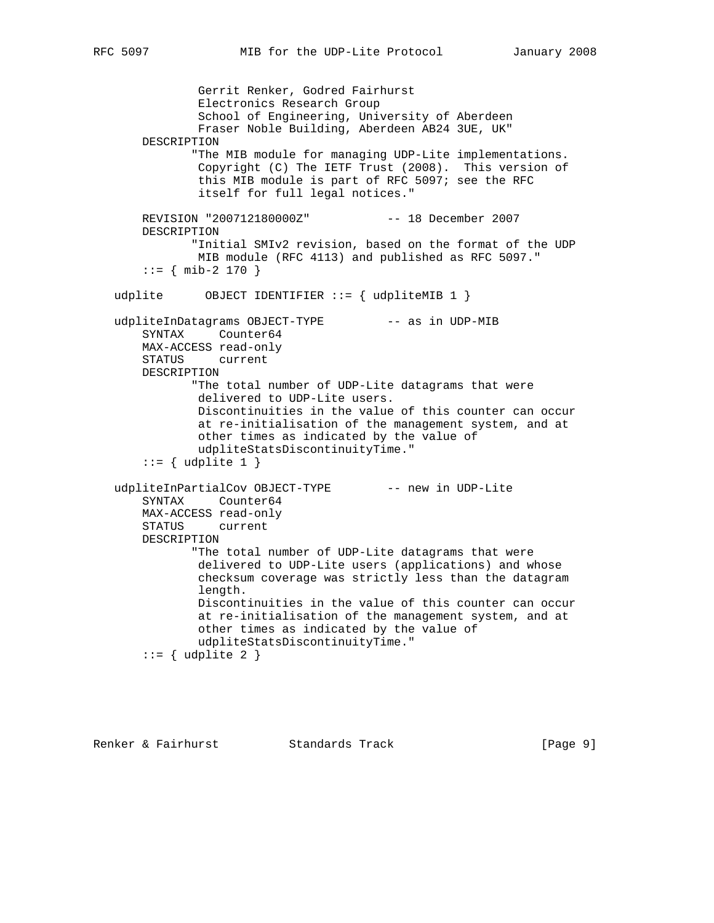Gerrit Renker, Godred Fairhurst Electronics Research Group School of Engineering, University of Aberdeen Fraser Noble Building, Aberdeen AB24 3UE, UK" DESCRIPTION "The MIB module for managing UDP-Lite implementations. Copyright (C) The IETF Trust (2008). This version of this MIB module is part of RFC 5097; see the RFC itself for full legal notices." REVISION "200712180000Z" -- 18 December 2007 DESCRIPTION "Initial SMIv2 revision, based on the format of the UDP MIB module (RFC 4113) and published as RFC 5097."  $::=$  { mib-2 170 } udplite  $OBJECT IDENTIFIER :: = \{ udpliteMIB 1 \}$ udpliteInDatagrams OBJECT-TYPE -- as in UDP-MIB SYNTAX Counter64 MAX-ACCESS read-only STATUS current DESCRIPTION "The total number of UDP-Lite datagrams that were delivered to UDP-Lite users. Discontinuities in the value of this counter can occur at re-initialisation of the management system, and at other times as indicated by the value of udpliteStatsDiscontinuityTime."  $::=$  { udplite 1 } udpliteInPartialCov OBJECT-TYPE -- new in UDP-Lite SYNTAX Counter64 MAX-ACCESS read-only STATUS current DESCRIPTION "The total number of UDP-Lite datagrams that were delivered to UDP-Lite users (applications) and whose checksum coverage was strictly less than the datagram length. Discontinuities in the value of this counter can occur at re-initialisation of the management system, and at other times as indicated by the value of udpliteStatsDiscontinuityTime."  $::=$  { udplite 2 }

Renker & Fairhurst Standards Track [Page 9]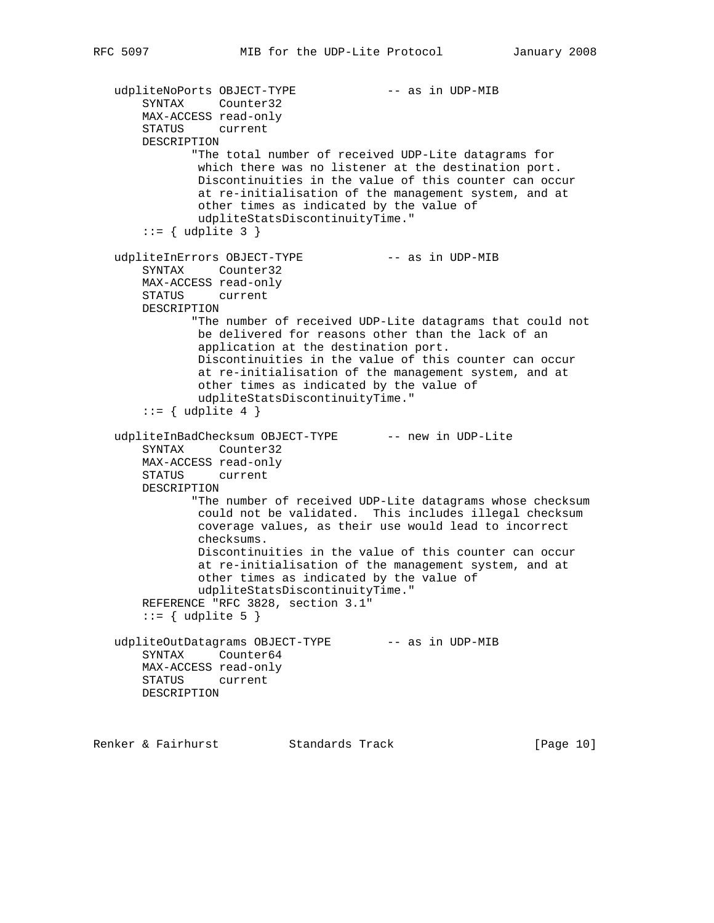```
udpliteNoPorts OBJECT-TYPE -- as in UDP-MIB
     SYNTAX Counter32
    MAX-ACCESS read-only
    STATUS current
    DESCRIPTION
           "The total number of received UDP-Lite datagrams for
            which there was no listener at the destination port.
            Discontinuities in the value of this counter can occur
            at re-initialisation of the management system, and at
            other times as indicated by the value of
            udpliteStatsDiscontinuityTime."
    ::= { udplite 3 }
udpliteInErrors OBJECT-TYPE -- as in UDP-MIB
    SYNTAX Counter32
    MAX-ACCESS read-only
    STATUS current
    DESCRIPTION
           "The number of received UDP-Lite datagrams that could not
            be delivered for reasons other than the lack of an
            application at the destination port.
            Discontinuities in the value of this counter can occur
            at re-initialisation of the management system, and at
            other times as indicated by the value of
            udpliteStatsDiscontinuityTime."
    ::= { udplite 4 }
udpliteInBadChecksum OBJECT-TYPE -- new in UDP-Lite
    SYNTAX Counter32
    MAX-ACCESS read-only
    STATUS current
    DESCRIPTION
           "The number of received UDP-Lite datagrams whose checksum
            could not be validated. This includes illegal checksum
            coverage values, as their use would lead to incorrect
            checksums.
            Discontinuities in the value of this counter can occur
            at re-initialisation of the management system, and at
            other times as indicated by the value of
            udpliteStatsDiscontinuityTime."
    REFERENCE "RFC 3828, section 3.1"
    ::= { udplite 5 }
udpliteOutDatagrams OBJECT-TYPE -- as in UDP-MIB
    SYNTAX Counter64
    MAX-ACCESS read-only
    STATUS current
    DESCRIPTION
```
Renker & Fairhurst Standards Track [Page 10]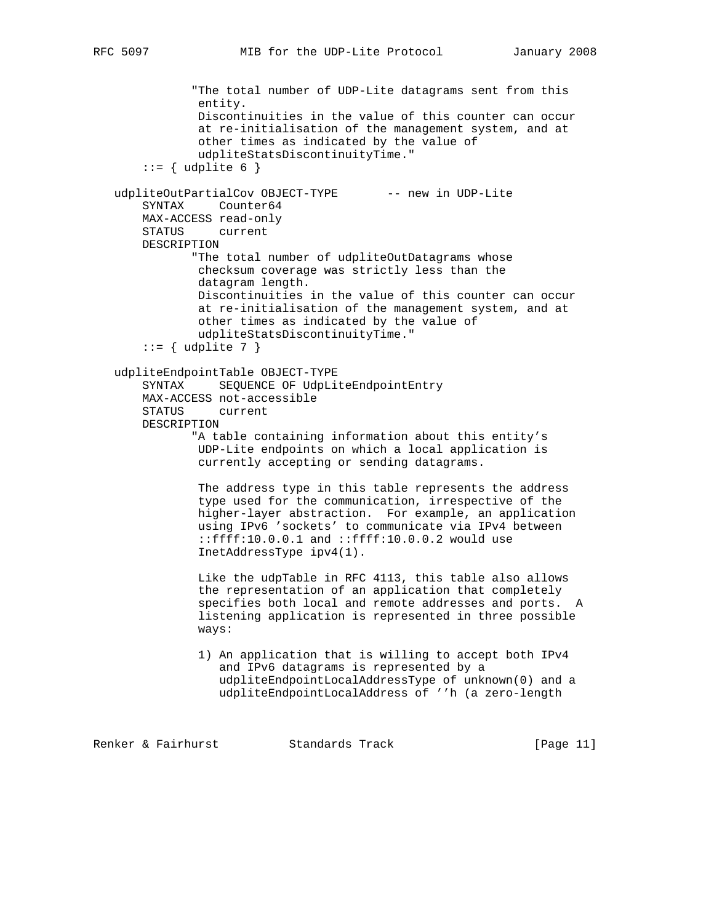```
 "The total number of UDP-Lite datagrams sent from this
                entity.
                Discontinuities in the value of this counter can occur
                at re-initialisation of the management system, and at
                other times as indicated by the value of
                udpliteStatsDiscontinuityTime."
       ::= { udplite 6 }
   udpliteOutPartialCov OBJECT-TYPE -- new in UDP-Lite
        SYNTAX Counter64
        MAX-ACCESS read-only
        STATUS current
       DESCRIPTION
              "The total number of udpliteOutDatagrams whose
                checksum coverage was strictly less than the
                datagram length.
                Discontinuities in the value of this counter can occur
                at re-initialisation of the management system, and at
                other times as indicated by the value of
                udpliteStatsDiscontinuityTime."
       ::= { udplite 7 }
    udpliteEndpointTable OBJECT-TYPE
        SYNTAX SEQUENCE OF UdpLiteEndpointEntry
        MAX-ACCESS not-accessible
        STATUS current
       DESCRIPTION
               "A table containing information about this entity's
                UDP-Lite endpoints on which a local application is
                currently accepting or sending datagrams.
                The address type in this table represents the address
                type used for the communication, irrespective of the
                higher-layer abstraction. For example, an application
                using IPv6 'sockets' to communicate via IPv4 between
                ::ffff:10.0.0.1 and ::ffff:10.0.0.2 would use
                InetAddressType ipv4(1).
                Like the udpTable in RFC 4113, this table also allows
                the representation of an application that completely
                specifies both local and remote addresses and ports. A
                listening application is represented in three possible
                ways:
                1) An application that is willing to accept both IPv4
                   and IPv6 datagrams is represented by a
                   udpliteEndpointLocalAddressType of unknown(0) and a
                   udpliteEndpointLocalAddress of ''h (a zero-length
Renker & Fairhurst             Standards Track                     [Page 11]
```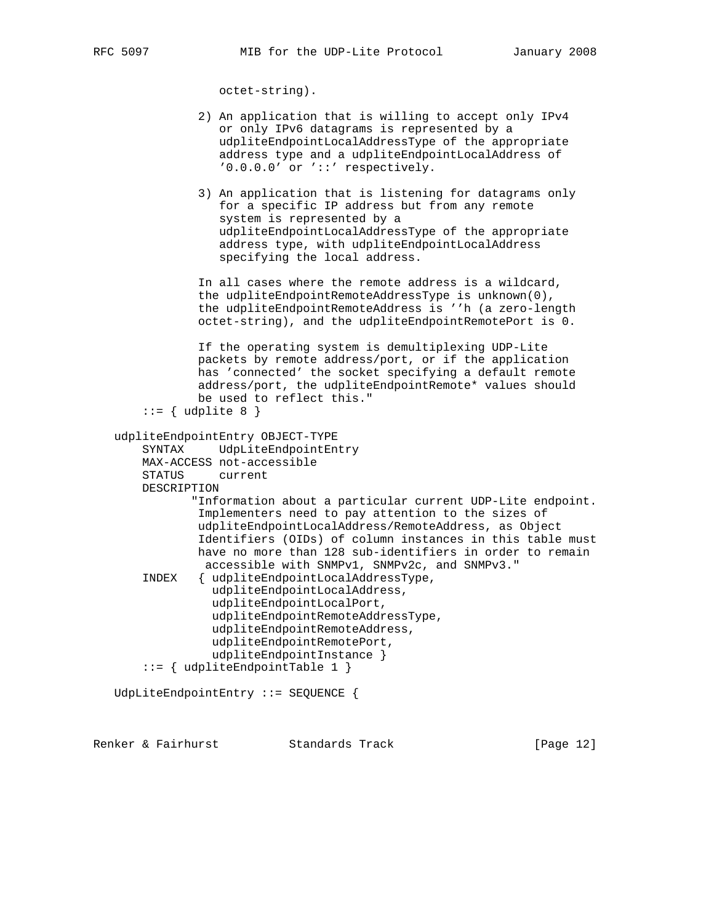octet-string).

```
 2) An application that is willing to accept only IPv4
                or only IPv6 datagrams is represented by a
                udpliteEndpointLocalAddressType of the appropriate
                address type and a udpliteEndpointLocalAddress of
                '0.0.0.0' or '::' respectively.
             3) An application that is listening for datagrams only
                for a specific IP address but from any remote
                system is represented by a
                udpliteEndpointLocalAddressType of the appropriate
                address type, with udpliteEndpointLocalAddress
                specifying the local address.
             In all cases where the remote address is a wildcard,
             the udpliteEndpointRemoteAddressType is unknown(0),
             the udpliteEndpointRemoteAddress is ''h (a zero-length
             octet-string), and the udpliteEndpointRemotePort is 0.
             If the operating system is demultiplexing UDP-Lite
             packets by remote address/port, or if the application
             has 'connected' the socket specifying a default remote
             address/port, the udpliteEndpointRemote* values should
             be used to reflect this."
    ::= { udplite 8 }
 udpliteEndpointEntry OBJECT-TYPE
     SYNTAX UdpLiteEndpointEntry
    MAX-ACCESS not-accessible
    STATUS current
    DESCRIPTION
            "Information about a particular current UDP-Lite endpoint.
             Implementers need to pay attention to the sizes of
             udpliteEndpointLocalAddress/RemoteAddress, as Object
             Identifiers (OIDs) of column instances in this table must
             have no more than 128 sub-identifiers in order to remain
              accessible with SNMPv1, SNMPv2c, and SNMPv3."
     INDEX { udpliteEndpointLocalAddressType,
               udpliteEndpointLocalAddress,
               udpliteEndpointLocalPort,
               udpliteEndpointRemoteAddressType,
               udpliteEndpointRemoteAddress,
               udpliteEndpointRemotePort,
               udpliteEndpointInstance }
     ::= { udpliteEndpointTable 1 }
 UdpLiteEndpointEntry ::= SEQUENCE {
```
Renker & Fairhurst Standards Track [Page 12]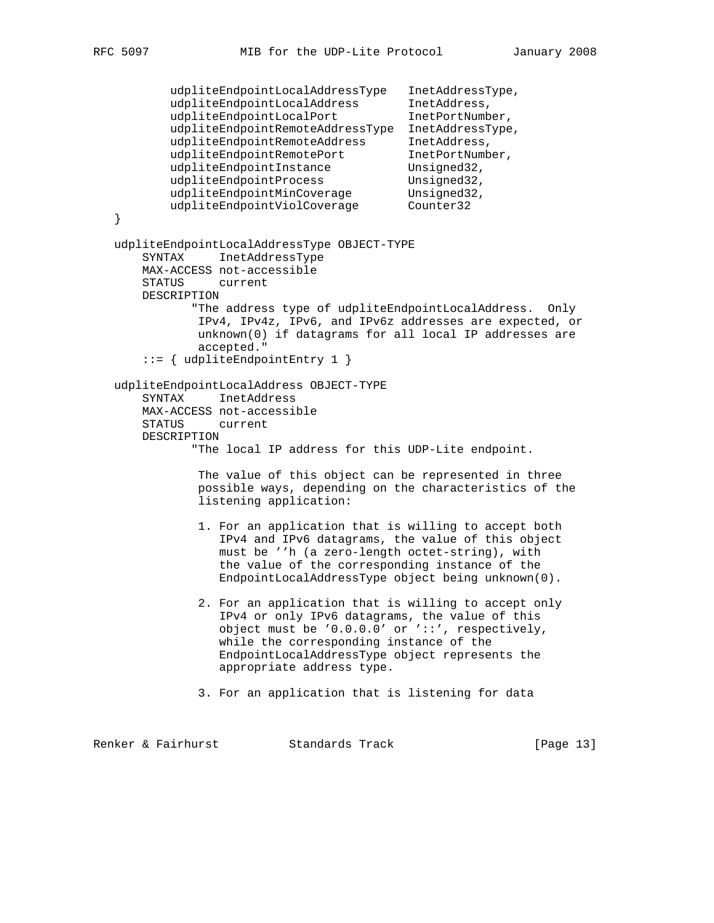```
 udpliteEndpointLocalAddressType InetAddressType,
udpliteEndpointLocalAddress    InetAddress,
 udpliteEndpointLocalPort InetPortNumber,
           udpliteEndpointRemoteAddressType InetAddressType,
          udpliteEndpointRemoteAddress InetAddress,<br>udpliteEndpointRemotePort InetPortNumber,
 udpliteEndpointRemotePort InetPortNumber,
udpliteEndpointInstance Unsigned32,
udpliteEndpointProcess Unsigned32,
          udpliteEndpointProcess Unsigned32,<br>udpliteEndpointMinCoverage Unsigned32,
          udpliteEndpointViolCoverage Counter32
   }
   udpliteEndpointLocalAddressType OBJECT-TYPE
       SYNTAX InetAddressType
       MAX-ACCESS not-accessible
       STATUS current
       DESCRIPTION
              "The address type of udpliteEndpointLocalAddress. Only
               IPv4, IPv4z, IPv6, and IPv6z addresses are expected, or
               unknown(0) if datagrams for all local IP addresses are
               accepted."
        ::= { udpliteEndpointEntry 1 }
   udpliteEndpointLocalAddress OBJECT-TYPE
       SYNTAX InetAddress
       MAX-ACCESS not-accessible
       STATUS current
       DESCRIPTION
               "The local IP address for this UDP-Lite endpoint.
               The value of this object can be represented in three
               possible ways, depending on the characteristics of the
               listening application:
               1. For an application that is willing to accept both
                  IPv4 and IPv6 datagrams, the value of this object
                  must be ''h (a zero-length octet-string), with
                  the value of the corresponding instance of the
                  EndpointLocalAddressType object being unknown(0).
               2. For an application that is willing to accept only
                  IPv4 or only IPv6 datagrams, the value of this
                  object must be '0.0.0.0' or '::', respectively,
                  while the corresponding instance of the
                  EndpointLocalAddressType object represents the
                  appropriate address type.
               3. For an application that is listening for data
```
Renker & Fairhurst Standards Track [Page 13]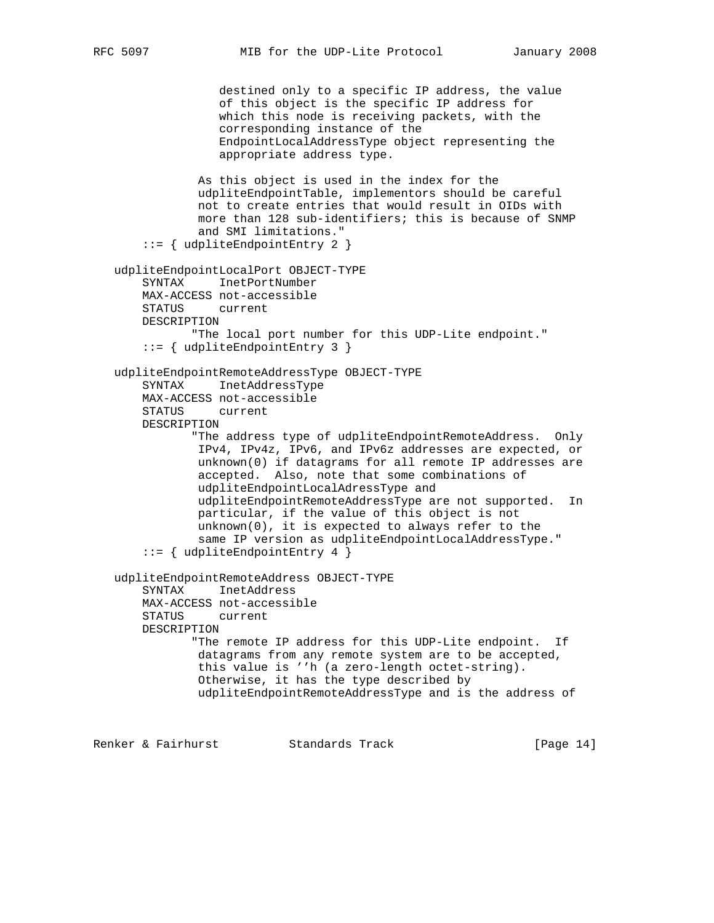```
 destined only to a specific IP address, the value
                   of this object is the specific IP address for
                   which this node is receiving packets, with the
                   corresponding instance of the
                   EndpointLocalAddressType object representing the
                   appropriate address type.
                As this object is used in the index for the
                udpliteEndpointTable, implementors should be careful
                not to create entries that would result in OIDs with
                more than 128 sub-identifiers; this is because of SNMP
                and SMI limitations."
        ::= { udpliteEndpointEntry 2 }
    udpliteEndpointLocalPort OBJECT-TYPE
        SYNTAX InetPortNumber
        MAX-ACCESS not-accessible
        STATUS current
       DESCRIPTION
               "The local port number for this UDP-Lite endpoint."
        ::= { udpliteEndpointEntry 3 }
    udpliteEndpointRemoteAddressType OBJECT-TYPE
        SYNTAX InetAddressType
        MAX-ACCESS not-accessible
        STATUS current
       DESCRIPTION
               "The address type of udpliteEndpointRemoteAddress. Only
                IPv4, IPv4z, IPv6, and IPv6z addresses are expected, or
                unknown(0) if datagrams for all remote IP addresses are
                accepted. Also, note that some combinations of
                udpliteEndpointLocalAdressType and
                udpliteEndpointRemoteAddressType are not supported. In
                particular, if the value of this object is not
                unknown(0), it is expected to always refer to the
                same IP version as udpliteEndpointLocalAddressType."
        ::= { udpliteEndpointEntry 4 }
    udpliteEndpointRemoteAddress OBJECT-TYPE
        SYNTAX InetAddress
        MAX-ACCESS not-accessible
        STATUS current
       DESCRIPTION
               "The remote IP address for this UDP-Lite endpoint. If
                datagrams from any remote system are to be accepted,
                this value is ''h (a zero-length octet-string).
                Otherwise, it has the type described by
                udpliteEndpointRemoteAddressType and is the address of
Renker & Fairhurst             Standards Track                   [Page 14]
```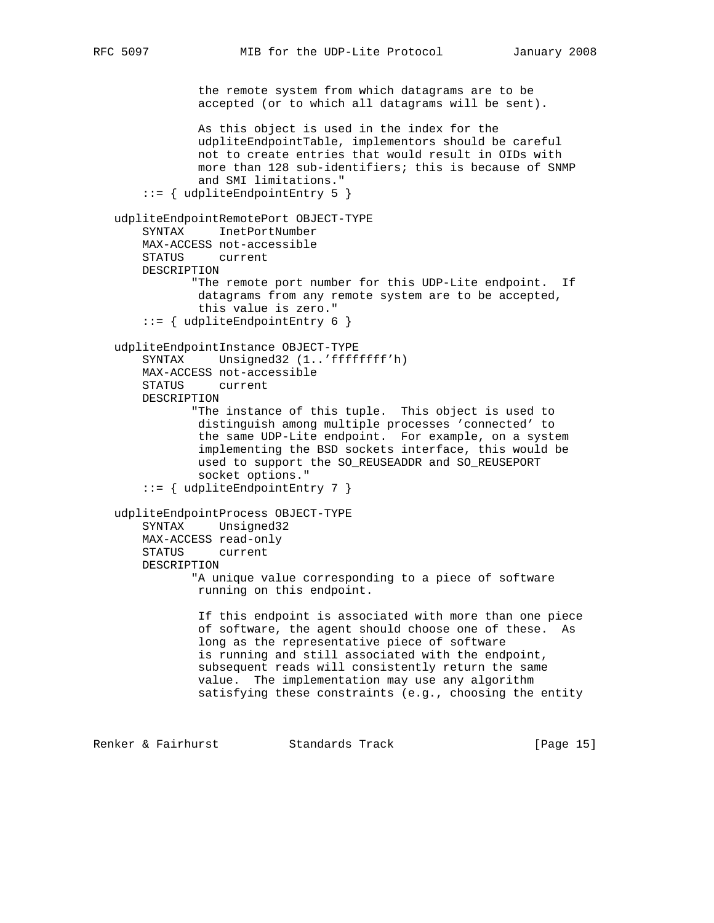```
 the remote system from which datagrams are to be
         accepted (or to which all datagrams will be sent).
         As this object is used in the index for the
         udpliteEndpointTable, implementors should be careful
         not to create entries that would result in OIDs with
         more than 128 sub-identifiers; this is because of SNMP
         and SMI limitations."
 ::= { udpliteEndpointEntry 5 }
```

```
 udpliteEndpointRemotePort OBJECT-TYPE
    SYNTAX InetPortNumber
    MAX-ACCESS not-accessible
     STATUS current
    DESCRIPTION
            "The remote port number for this UDP-Lite endpoint. If
             datagrams from any remote system are to be accepted,
             this value is zero."
     ::= { udpliteEndpointEntry 6 }
 udpliteEndpointInstance OBJECT-TYPE
     SYNTAX Unsigned32 (1..'ffffffff'h)
    MAX-ACCESS not-accessible
    STATUS current
    DESCRIPTION
            "The instance of this tuple. This object is used to
             distinguish among multiple processes 'connected' to
             the same UDP-Lite endpoint. For example, on a system
             implementing the BSD sockets interface, this would be
             used to support the SO_REUSEADDR and SO_REUSEPORT
             socket options."
     ::= { udpliteEndpointEntry 7 }
 udpliteEndpointProcess OBJECT-TYPE
    SYNTAX Unsigned32
    MAX-ACCESS read-only
    STATUS current
    DESCRIPTION
            "A unique value corresponding to a piece of software
            running on this endpoint.
             If this endpoint is associated with more than one piece
             of software, the agent should choose one of these. As
             long as the representative piece of software
             is running and still associated with the endpoint,
             subsequent reads will consistently return the same
             value. The implementation may use any algorithm
             satisfying these constraints (e.g., choosing the entity
```
Renker & Fairhurst Standards Track [Page 15]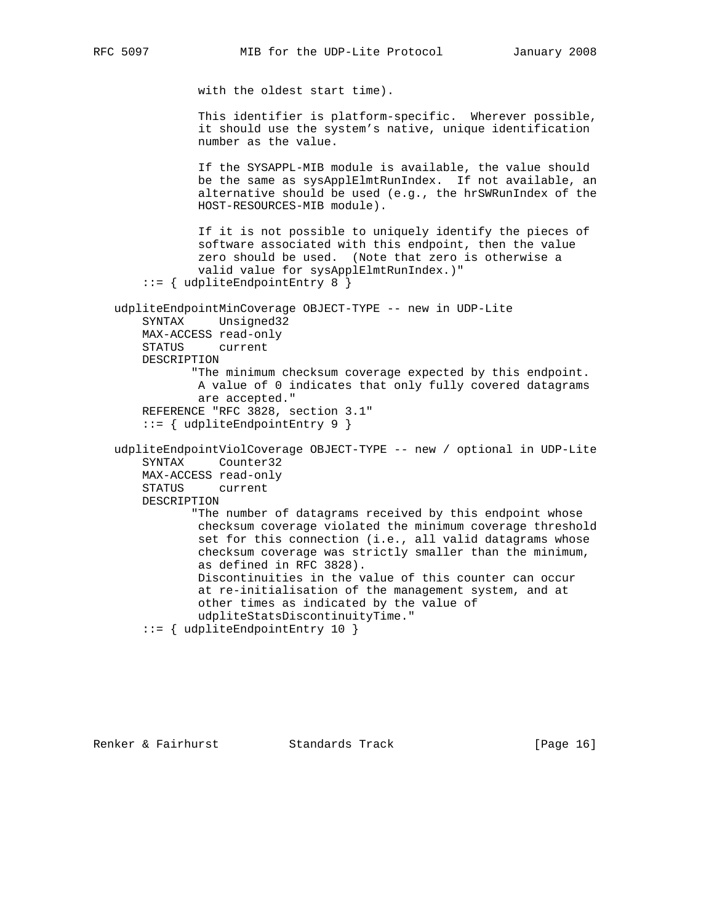with the oldest start time). This identifier is platform-specific. Wherever possible, it should use the system's native, unique identification number as the value. If the SYSAPPL-MIB module is available, the value should be the same as sysApplElmtRunIndex. If not available, an alternative should be used (e.g., the hrSWRunIndex of the HOST-RESOURCES-MIB module). If it is not possible to uniquely identify the pieces of software associated with this endpoint, then the value zero should be used. (Note that zero is otherwise a valid value for sysApplElmtRunIndex.)" ::= { udpliteEndpointEntry 8 } udpliteEndpointMinCoverage OBJECT-TYPE -- new in UDP-Lite SYNTAX Unsigned32 MAX-ACCESS read-only STATUS current DESCRIPTION "The minimum checksum coverage expected by this endpoint. A value of 0 indicates that only fully covered datagrams are accepted." REFERENCE "RFC 3828, section 3.1" ::= { udpliteEndpointEntry 9 } udpliteEndpointViolCoverage OBJECT-TYPE -- new / optional in UDP-Lite SYNTAX Counter32 MAX-ACCESS read-only STATUS current DESCRIPTION "The number of datagrams received by this endpoint whose checksum coverage violated the minimum coverage threshold set for this connection (i.e., all valid datagrams whose checksum coverage was strictly smaller than the minimum, as defined in RFC 3828). Discontinuities in the value of this counter can occur at re-initialisation of the management system, and at other times as indicated by the value of udpliteStatsDiscontinuityTime." ::= { udpliteEndpointEntry 10 }

Renker & Fairhurst  $\sim$  Standards Track [Page 16]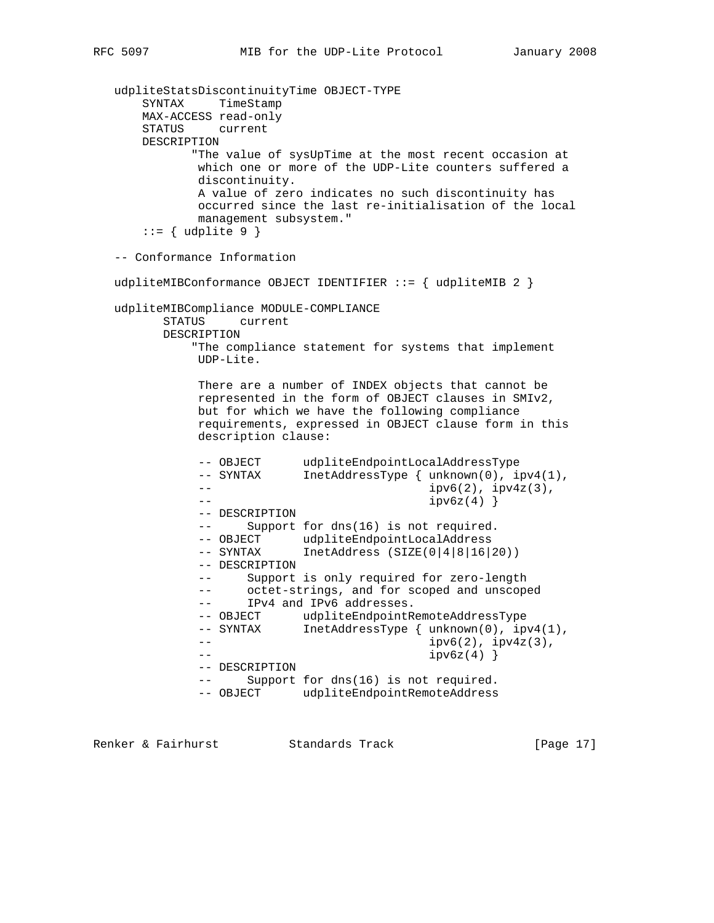```
 udpliteStatsDiscontinuityTime OBJECT-TYPE
       SYNTAX TimeStamp
       MAX-ACCESS read-only
       STATUS current
       DESCRIPTION
             "The value of sysUpTime at the most recent occasion at
              which one or more of the UDP-Lite counters suffered a
              discontinuity.
              A value of zero indicates no such discontinuity has
              occurred since the last re-initialisation of the local
              management subsystem."
      ::= { udplite 9 }
   -- Conformance Information
  udpliteMIBConformance OBJECT IDENTIFIER ::= { udpliteMIB 2 }
   udpliteMIBCompliance MODULE-COMPLIANCE
         STATUS current
         DESCRIPTION
             "The compliance statement for systems that implement
              UDP-Lite.
              There are a number of INDEX objects that cannot be
              represented in the form of OBJECT clauses in SMIv2,
              but for which we have the following compliance
              requirements, expressed in OBJECT clause form in this
              description clause:
             -- OBJECT udpliteEndpointLocalAddressType<br>-- SYNTAX InetAddressType { unknown(0), ip
                          InetAddressType { unknown(0), ipv4(1),}- ipv6(2), ipv4z(3),
             -- ipv6z(4)}
              -- DESCRIPTION
              -- Support for dns(16) is not required.
 -- OBJECT udpliteEndpointLocalAddress
 -- SYNTAX InetAddress (SIZE(0|4|8|16|20))
              -- DESCRIPTION
              -- Support is only required for zero-length
              -- octet-strings, and for scoped and unscoped
              -- IPv4 and IPv6 addresses.
              -- OBJECT udpliteEndpointRemoteAddressType
             -- SYNTAX InetAddressType { unknown(0), ipv4(1),
              -- ipv6(2), ipv4z(3),
             -- ipv6z(4)}
              -- DESCRIPTION
              -- Support for dns(16) is not required.
              -- OBJECT udpliteEndpointRemoteAddress
```
Renker & Fairhurst Standards Track [Page 17]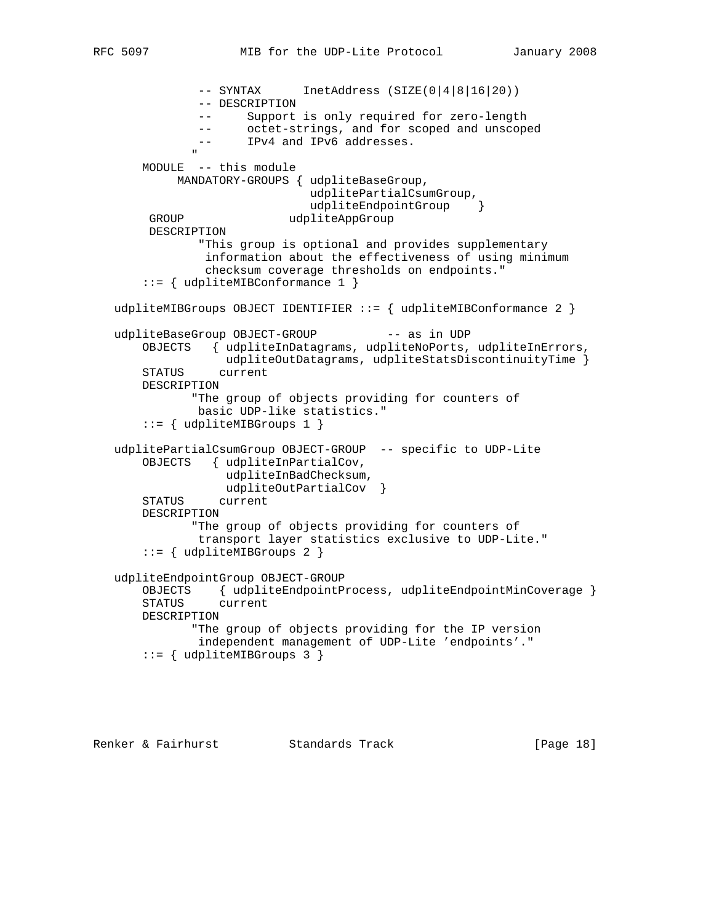```
 -- SYNTAX InetAddress (SIZE(0|4|8|16|20))
                 -- DESCRIPTION
                 -- Support is only required for zero-length
                 -- octet-strings, and for scoped and unscoped
                 -- IPv4 and IPv6 addresses.
" "The contract of the contract of the contract of the contract of the contract of the contract of the contract of the contract of the contract of the contract of the contract of the contract of the contract of the contrac
        MODULE -- this module
              MANDATORY-GROUPS { udpliteBaseGroup,
                                   udplitePartialCsumGroup,
                                  udpliteEndpointGroup }
        GROUP udpliteAppGroup
         DESCRIPTION
                 "This group is optional and provides supplementary
                  information about the effectiveness of using minimum
                  checksum coverage thresholds on endpoints."
        ::= { udpliteMIBConformance 1 }
    udpliteMIBGroups OBJECT IDENTIFIER ::= { udpliteMIBConformance 2 }
   udpliteBaseGroup OBJECT-GROUP -- as in UDP
        OBJECTS { udpliteInDatagrams, udpliteNoPorts, udpliteInErrors,
                    udpliteOutDatagrams, udpliteStatsDiscontinuityTime }
        STATUS current
        DESCRIPTION
                "The group of objects providing for counters of
                 basic UDP-like statistics."
        ::= { udpliteMIBGroups 1 }
    udplitePartialCsumGroup OBJECT-GROUP -- specific to UDP-Lite
        OBJECTS { udpliteInPartialCov,
                     udpliteInBadChecksum,
                    udpliteOutPartialCov }
        STATUS current
        DESCRIPTION
                "The group of objects providing for counters of
                 transport layer statistics exclusive to UDP-Lite."
        ::= { udpliteMIBGroups 2 }
    udpliteEndpointGroup OBJECT-GROUP
        OBJECTS { udpliteEndpointProcess, udpliteEndpointMinCoverage }
        STATUS current
        DESCRIPTION
                "The group of objects providing for the IP version
                 independent management of UDP-Lite 'endpoints'."
        ::= { udpliteMIBGroups 3 }
```
Renker & Fairhurst Standards Track [Page 18]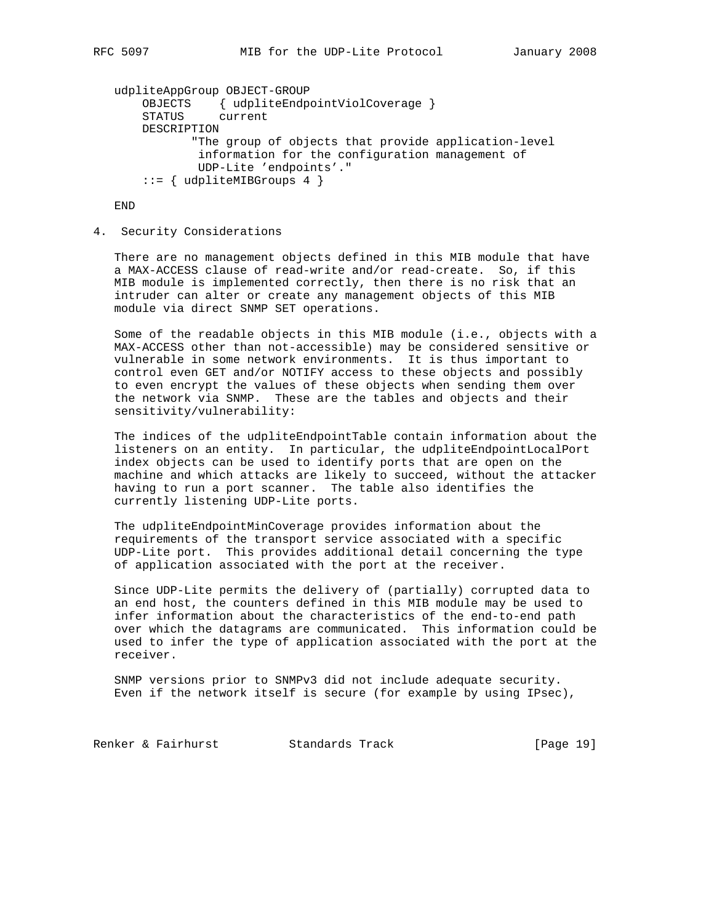```
 udpliteAppGroup OBJECT-GROUP
 OBJECTS { udpliteEndpointViolCoverage }
 STATUS current
       DESCRIPTION
              "The group of objects that provide application-level
               information for the configuration management of
               UDP-Lite 'endpoints'."
      ::= { udpliteMIBGroups 4 }
```
END

## 4. Security Considerations

 There are no management objects defined in this MIB module that have a MAX-ACCESS clause of read-write and/or read-create. So, if this MIB module is implemented correctly, then there is no risk that an intruder can alter or create any management objects of this MIB module via direct SNMP SET operations.

 Some of the readable objects in this MIB module (i.e., objects with a MAX-ACCESS other than not-accessible) may be considered sensitive or vulnerable in some network environments. It is thus important to control even GET and/or NOTIFY access to these objects and possibly to even encrypt the values of these objects when sending them over the network via SNMP. These are the tables and objects and their sensitivity/vulnerability:

 The indices of the udpliteEndpointTable contain information about the listeners on an entity. In particular, the udpliteEndpointLocalPort index objects can be used to identify ports that are open on the machine and which attacks are likely to succeed, without the attacker having to run a port scanner. The table also identifies the currently listening UDP-Lite ports.

 The udpliteEndpointMinCoverage provides information about the requirements of the transport service associated with a specific UDP-Lite port. This provides additional detail concerning the type of application associated with the port at the receiver.

 Since UDP-Lite permits the delivery of (partially) corrupted data to an end host, the counters defined in this MIB module may be used to infer information about the characteristics of the end-to-end path over which the datagrams are communicated. This information could be used to infer the type of application associated with the port at the receiver.

 SNMP versions prior to SNMPv3 did not include adequate security. Even if the network itself is secure (for example by using IPsec),

Renker & Fairhurst Standards Track [Page 19]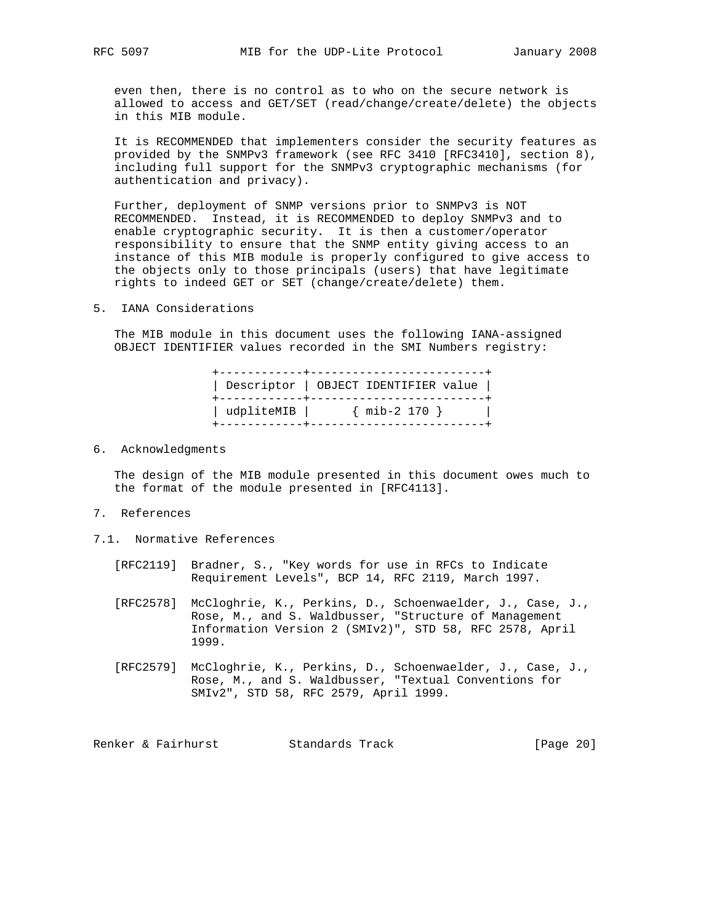even then, there is no control as to who on the secure network is allowed to access and GET/SET (read/change/create/delete) the objects in this MIB module.

 It is RECOMMENDED that implementers consider the security features as provided by the SNMPv3 framework (see RFC 3410 [RFC3410], section 8), including full support for the SNMPv3 cryptographic mechanisms (for authentication and privacy).

 Further, deployment of SNMP versions prior to SNMPv3 is NOT RECOMMENDED. Instead, it is RECOMMENDED to deploy SNMPv3 and to enable cryptographic security. It is then a customer/operator responsibility to ensure that the SNMP entity giving access to an instance of this MIB module is properly configured to give access to the objects only to those principals (users) that have legitimate rights to indeed GET or SET (change/create/delete) them.

5. IANA Considerations

 The MIB module in this document uses the following IANA-assigned OBJECT IDENTIFIER values recorded in the SMI Numbers registry:

| Descriptor   OBJECT IDENTIFIER value  <br>-------------------------------------- | __+________________________ |  |
|----------------------------------------------------------------------------------|-----------------------------|--|
| udpliteMIB   { mib-2 170 }                                                       |                             |  |

6. Acknowledgments

 The design of the MIB module presented in this document owes much to the format of the module presented in [RFC4113].

- 7. References
- 7.1. Normative References
	- [RFC2119] Bradner, S., "Key words for use in RFCs to Indicate Requirement Levels", BCP 14, RFC 2119, March 1997.
	- [RFC2578] McCloghrie, K., Perkins, D., Schoenwaelder, J., Case, J., Rose, M., and S. Waldbusser, "Structure of Management Information Version 2 (SMIv2)", STD 58, RFC 2578, April 1999.
	- [RFC2579] McCloghrie, K., Perkins, D., Schoenwaelder, J., Case, J., Rose, M., and S. Waldbusser, "Textual Conventions for SMIv2", STD 58, RFC 2579, April 1999.

Renker & Fairhurst **Standards Track** [Page 20]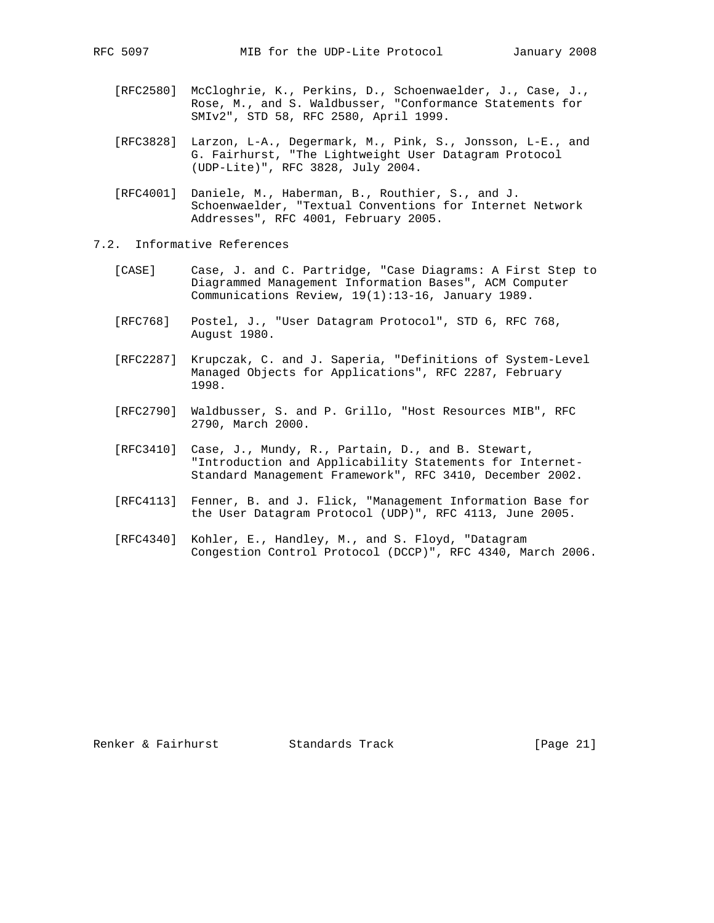- [RFC2580] McCloghrie, K., Perkins, D., Schoenwaelder, J., Case, J., Rose, M., and S. Waldbusser, "Conformance Statements for SMIv2", STD 58, RFC 2580, April 1999.
- [RFC3828] Larzon, L-A., Degermark, M., Pink, S., Jonsson, L-E., and G. Fairhurst, "The Lightweight User Datagram Protocol (UDP-Lite)", RFC 3828, July 2004.
- [RFC4001] Daniele, M., Haberman, B., Routhier, S., and J. Schoenwaelder, "Textual Conventions for Internet Network Addresses", RFC 4001, February 2005.
- 7.2. Informative References
	- [CASE] Case, J. and C. Partridge, "Case Diagrams: A First Step to Diagrammed Management Information Bases", ACM Computer Communications Review, 19(1):13-16, January 1989.
	- [RFC768] Postel, J., "User Datagram Protocol", STD 6, RFC 768, August 1980.
	- [RFC2287] Krupczak, C. and J. Saperia, "Definitions of System-Level Managed Objects for Applications", RFC 2287, February 1998.
	- [RFC2790] Waldbusser, S. and P. Grillo, "Host Resources MIB", RFC 2790, March 2000.
	- [RFC3410] Case, J., Mundy, R., Partain, D., and B. Stewart, "Introduction and Applicability Statements for Internet- Standard Management Framework", RFC 3410, December 2002.
	- [RFC4113] Fenner, B. and J. Flick, "Management Information Base for the User Datagram Protocol (UDP)", RFC 4113, June 2005.
	- [RFC4340] Kohler, E., Handley, M., and S. Floyd, "Datagram Congestion Control Protocol (DCCP)", RFC 4340, March 2006.

Renker & Fairhurst Standards Track [Page 21]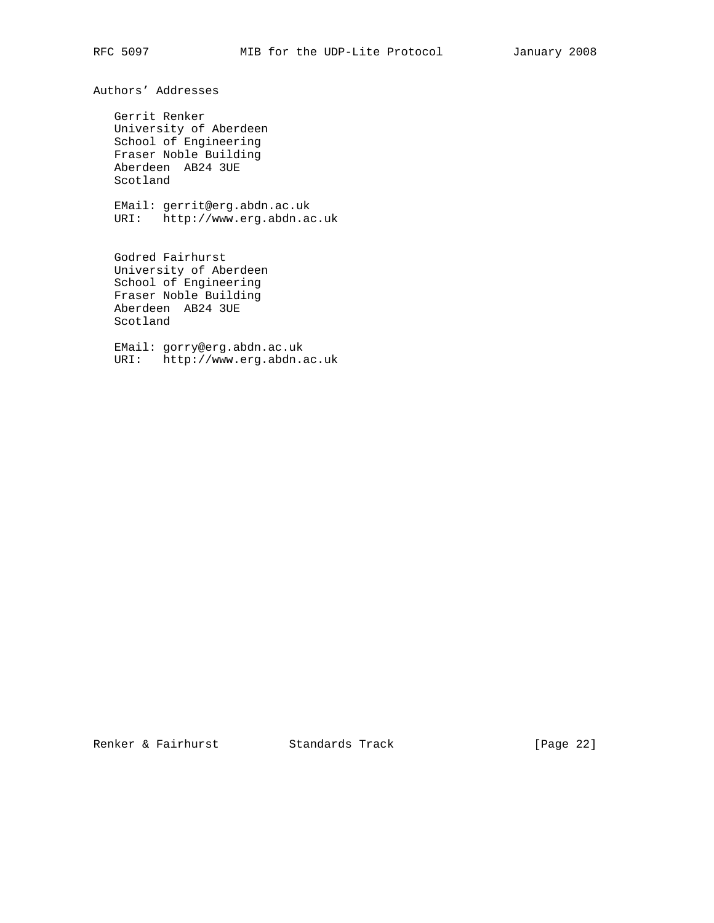Authors' Addresses

 Gerrit Renker University of Aberdeen School of Engineering Fraser Noble Building Aberdeen AB24 3UE Scotland

 EMail: gerrit@erg.abdn.ac.uk URI: http://www.erg.abdn.ac.uk

 Godred Fairhurst University of Aberdeen School of Engineering Fraser Noble Building Aberdeen AB24 3UE Scotland

 EMail: gorry@erg.abdn.ac.uk URI: http://www.erg.abdn.ac.uk